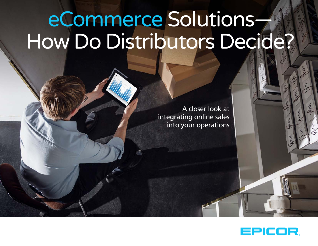# eCommerce Solutions— How Do Distributors Decide?

A closer look at integrating online sales into your operations

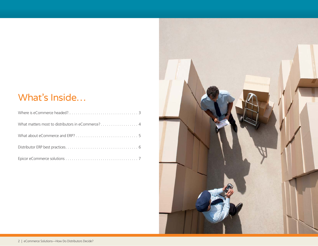# What's Inside…

| What matters most to distributors in eCommerce? 4 |  |
|---------------------------------------------------|--|
|                                                   |  |
|                                                   |  |
|                                                   |  |

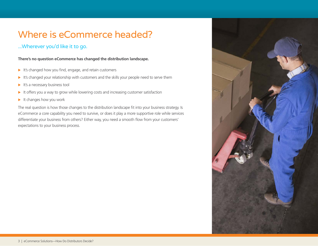# <span id="page-2-0"></span>Where is eCommerce headed?

### ...Wherever you'd like it to go.

**There's no question eCommerce has changed the distribution landscape.**

- $\blacktriangleright$  It's changed how you find, engage, and retain customers
- $\blacktriangleright$  It's changed your relationship with customers and the skills your people need to serve them
- $\blacktriangleright$  It's a necessary business tool
- $\blacktriangleright$  It offers you a way to grow while lowering costs and increasing customer satisfaction
- $\blacktriangleright$  It changes how you work

The real question is how those changes to the distribution landscape fit into your business strategy. Is eCommerce a core capability you need to survive, or does it play a more supportive role while services differentiate your business from others? Either way, you need a smooth flow from your customers' expectations to your business process.

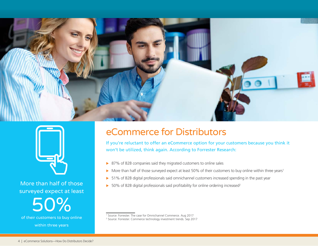<span id="page-3-0"></span>



More than half of those surveyed expect at least

of their customers to buy online 50% within three years

## eCommerce for Distributors

If you're reluctant to offer an eCommerce option for your customers because you think it won't be utilized, think again. According to Forrester Research:

- $\triangleright$  87% of B2B companies said they migrated customers to online sales
- $\triangleright$  More than half of those surveyed expect at least 50% of their customers to buy online within three years<sup>1</sup>
- > 51% of B2B digital professionals said omnichannel customers increased spending in the past year
- $\triangleright$  50% of B2B digital professionals said profitability for online ordering increased<sup>2</sup>

1 Source: Forrester. The case for Omnichannel Commerce. Aug 2017 2 Source: Forrester. Commerce technology investment trends. Sep 2017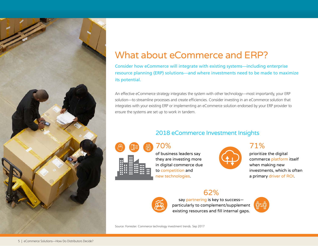<span id="page-4-0"></span>

## What about eCommerce and ERP?

Consider how eCommerce will integrate with existing systems—including enterprise resource planning (ERP) solutions—and where investments need to be made to maximize its potential.

An effective eCommerce strategy integrates the system with other technology—most importantly, your ERP solution—to streamline processes and create efficiencies. Consider investing in an eCommerce solution that integrates with your existing ERP or implementing an eCommerce solution endorsed by your ERP provider to ensure the systems are set up to work in tandem.

## 2018 eCommerce Investment Insights



70% of business leaders say they are investing more in digital commerce due to competition and

new technologies.



71% prioritize the digital commerce platform itself when making new investments, which is often a primary driver of ROI.

## 62%



say partnering is key to success particularly to complement/supplement existing resources and fill internal gaps.



Source: Forrester. Commerce technology investment trends. Sep 2017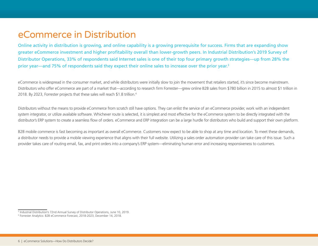## <span id="page-5-0"></span>eCommerce in Distribution

Online activity in distribution is growing, and online capability is a growing prerequisite for success. Firms that are expanding show greater eCommerce investment and higher profitability overall than lower-growth peers. In Industrial Distribution's 2019 Survey of Distributor Operations, 33% of respondents said Internet sales is one of their top four primary growth strategies—up from 28% the prior year—and 75% of respondents said they expect their online sales to increase over the prior year.<sup>3</sup>

eCommerce is widespread in the consumer market, and while distributors were initially slow to join the movement that retailers started, it's since become mainstream. Distributors who offer eCommerce are part of a market that—according to research firm Forrester—grew online B2B sales from \$780 billion in 2015 to almost \$1 trillion in 2018. By 2023, Forrester projects that these sales will reach \$1.8 trillion.4

Distributors without the means to provide eCommerce from scratch still have options. They can enlist the service of an eCommerce provider, work with an independent system integrator, or utilize available software. Whichever route is selected, it is simplest and most effective for the eCommerce system to be directly integrated with the distributor's ERP system to create a seamless flow of orders. eCommerce and ERP integration can be a large hurdle for distributors who build and support their own platform.

B2B mobile commerce is fast becoming as important as overall eCommerce. Customers now expect to be able to shop at any time and location. To meet these demands, a distributor needs to provide a mobile viewing experience that aligns with their full website. Utilizing a sales order automation provider can take care of this issue. Such a provider takes care of routing email, fax, and print orders into a company's ERP system—eliminating human error and increasing responsiveness to customers.

<sup>3</sup> Industrial Distribution's 72nd Annual Survey of Distributor Operations, June 10, 2019.

<sup>4</sup> Forrester Analytics: B2B eCommerce Forecast, 2018-2023, December 14, 2018.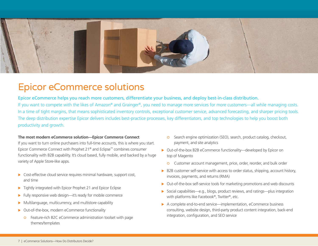<span id="page-6-0"></span>

## Epicor eCommerce solutions

Epicor eCommerce helps you reach more customers, differentiate your business, and deploy best-in-class distribution. If you want to compete with the likes of Amazon® and Grainger®, you need to manage more services for more customers—all while managing costs. In a time of tight margins, that means sophisticated inventory controls, exceptional customer service, advanced forecasting, and sharper pricing tools. The deep distribution expertise Epicor delivers includes best-practice processes, key differentiators, and top technologies to help you boost both productivity and growth.

#### **The most modern eCommerce solution—Epicor Commerce Connect**

If you want to turn online purchasers into full-time accounts, this is where you start. Epicor Commerce Connect with Prophet 21® and Eclipse™ combines consumer functionality with B2B capability. It's cloud based, fully mobile, and backed by a huge variety of Apple Store-like apps.

- $\triangleright$  Cost-effective cloud service requires minimal hardware, support cost, and time
- $\triangleright$  Tightly integrated with Epicor Prophet 21 and Epicor Eclipse
- $\blacktriangleright$  Fully responsive web design—it's ready for mobile commerce
- $\triangleright$  Multilanguage, multicurrency, and multistore capability
- $\triangleright$  Out-of-the-box, modern eCommerce functionality
	- **o** Feature-rich B2C eCommerce administration toolset with page themes/templates
- | Search engine optimization (SEO), search, product catalog, checkout, payment, and site analytics
- ▶ Out-of-the-box B2B eCommerce functionality—developed by Epicor on top of Magento
	- **O** Customer account management, price, order, reorder, and bulk order
- $\triangleright$  B2B customer self-service with access to order status, shipping, account history, invoices, payments, and returns (RMA)
- $\triangleright$  Out-of-the-box self-service tools for marketing promotions and web discounts
- ▶ Social capabilities—e.g., blogs, product reviews, and ratings—plus integration with platforms like Facebook®, Twitter®, etc.
- ▶ A complete end-to-end service—implementation, eCommerce business consulting, website design, third-party product content integration, back-end integration, configuration, and SEO service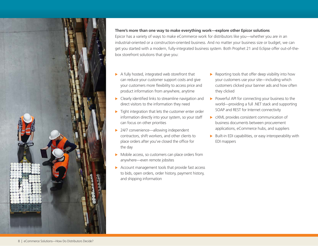

#### **There's more than one way to make everything work—explore other Epicor solutions**

Epicor has a variety of ways to make eCommerce work for distributors like you—whether you are in an industrial-oriented or a construction-oriented business. And no matter your business size or budget, we can get you started with a modern, fully-integrated business system. Both Prophet 21 and Eclipse offer out-of-thebox storefront solutions that give you:

- $\blacktriangleright$  A fully hosted, integrated web storefront that can reduce your customer support costs and give your customers more flexibility to access price and product information from anywhere, anytime
- $\blacktriangleright$  Clearly identified links to streamline navigation and direct visitors to the information they need
- $\blacktriangleright$  Tight integration that lets the customer enter order information directly into your system, so your staff can focus on other priorities
- $\triangleright$  24/7 convenience—allowing independent contractors, shift workers, and other clients to place orders after you've closed the office for the day
- $\triangleright$  Mobile access, so customers can place orders from anywhere—even remote jobsites
- $\triangleright$  Account management tools that provide fast access to bids, open orders, order history, payment history, and shipping information
- $\blacktriangleright$  Reporting tools that offer deep visibility into how your customers use your site—including which customers clicked your banner ads and how often they clicked
- Powerful API for connecting your business to the world—providing a full .NET stack and supporting SOAP and REST for Internet connectivity
- $\triangleright$  cXML provides consistent communication of business documents between procurement applications, eCommerce hubs, and suppliers
- $\triangleright$  Built-in EDI capabilities, or easy interoperability with EDI mappers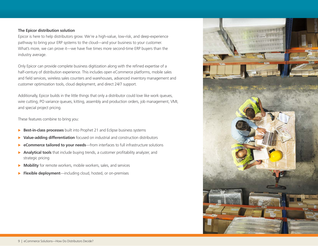#### **The Epicor distribution solution**

Epicor is here to help distributors grow. We're a high-value, low-risk, and deep-experience pathway to bring your ERP systems to the cloud—and your business to your customer. What's more, we can prove it—we have five times more second-time ERP buyers than the industry average.

Only Epicor can provide complete business digitization along with the refined expertise of a half-century of distribution experience. This includes open eCommerce platforms, mobile sales and field services, wireless sales counters and warehouses, advanced inventory management and customer optimization tools, cloud deployment, and direct 24/7 support.

Additionally, Epicor builds in the little things that only a distributor could love like work queues, wire cutting, PO variance queues, kitting, assembly and production orders, job management, VMI, and special project pricing.

These features combine to bring you:

- **Best-in-class processes** built into Prophet 21 and Eclipse business systems
- X **Value-adding differentiation** focused on industrial and construction distributors
- ▶ **eCommerce tailored to your needs**—from interfaces to full infrastructure solutions
- ▶ Analytical tools that include buying trends, a customer profitability analyzer, and strategic pricing
- **Mobility** for remote workers, mobile workers, sales, and services
- **Flexible deployment**—including cloud, hosted, or on-premises